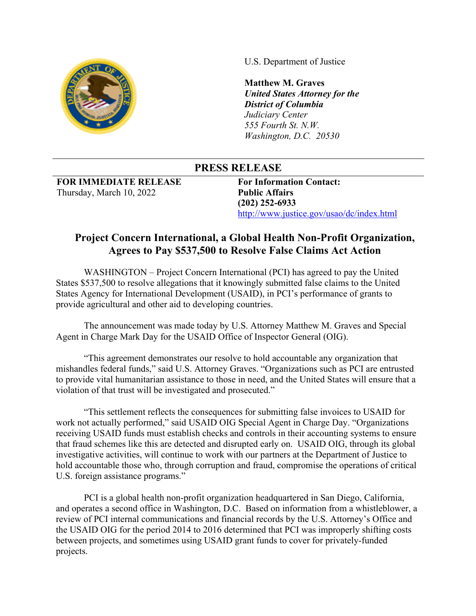

U.S. Department of Justice

**Matthew M. Graves**  *United States Attorney for the District of Columbia Judiciary Center 555 Fourth St. N.W. Washington, D.C. 20530*

## **PRESS RELEASE**

**FOR IMMEDIATE RELEASE**  Thursday, March 10, 2022

**For Information Contact: Public Affairs (202) 252-6933**  http://www.justice.gov/usao/dc/index.html

## **Project Concern International, a Global Health Non-Profit Organization, Agrees to Pay \$537,500 to Resolve False Claims Act Action**

WASHINGTON – Project Concern International (PCI) has agreed to pay the United States \$537,500 to resolve allegations that it knowingly submitted false claims to the United States Agency for International Development (USAID), in PCI's performance of grants to provide agricultural and other aid to developing countries.

The announcement was made today by U.S. Attorney Matthew M. Graves and Special Agent in Charge Mark Day for the USAID Office of Inspector General (OIG).

"This agreement demonstrates our resolve to hold accountable any organization that mishandles federal funds," said U.S. Attorney Graves. "Organizations such as PCI are entrusted to provide vital humanitarian assistance to those in need, and the United States will ensure that a violation of that trust will be investigated and prosecuted."

"This settlement reflects the consequences for submitting false invoices to USAID for work not actually performed," said USAID OIG Special Agent in Charge Day. "Organizations receiving USAID funds must establish checks and controls in their accounting systems to ensure that fraud schemes like this are detected and disrupted early on. USAID OIG, through its global investigative activities, will continue to work with our partners at the Department of Justice to hold accountable those who, through corruption and fraud, compromise the operations of critical U.S. foreign assistance programs."

PCI is a global health non-profit organization headquartered in San Diego, California, and operates a second office in Washington, D.C. Based on information from a whistleblower, a review of PCI internal communications and financial records by the U.S. Attorney's Office and the USAID OIG for the period 2014 to 2016 determined that PCI was improperly shifting costs between projects, and sometimes using USAID grant funds to cover for privately-funded projects.